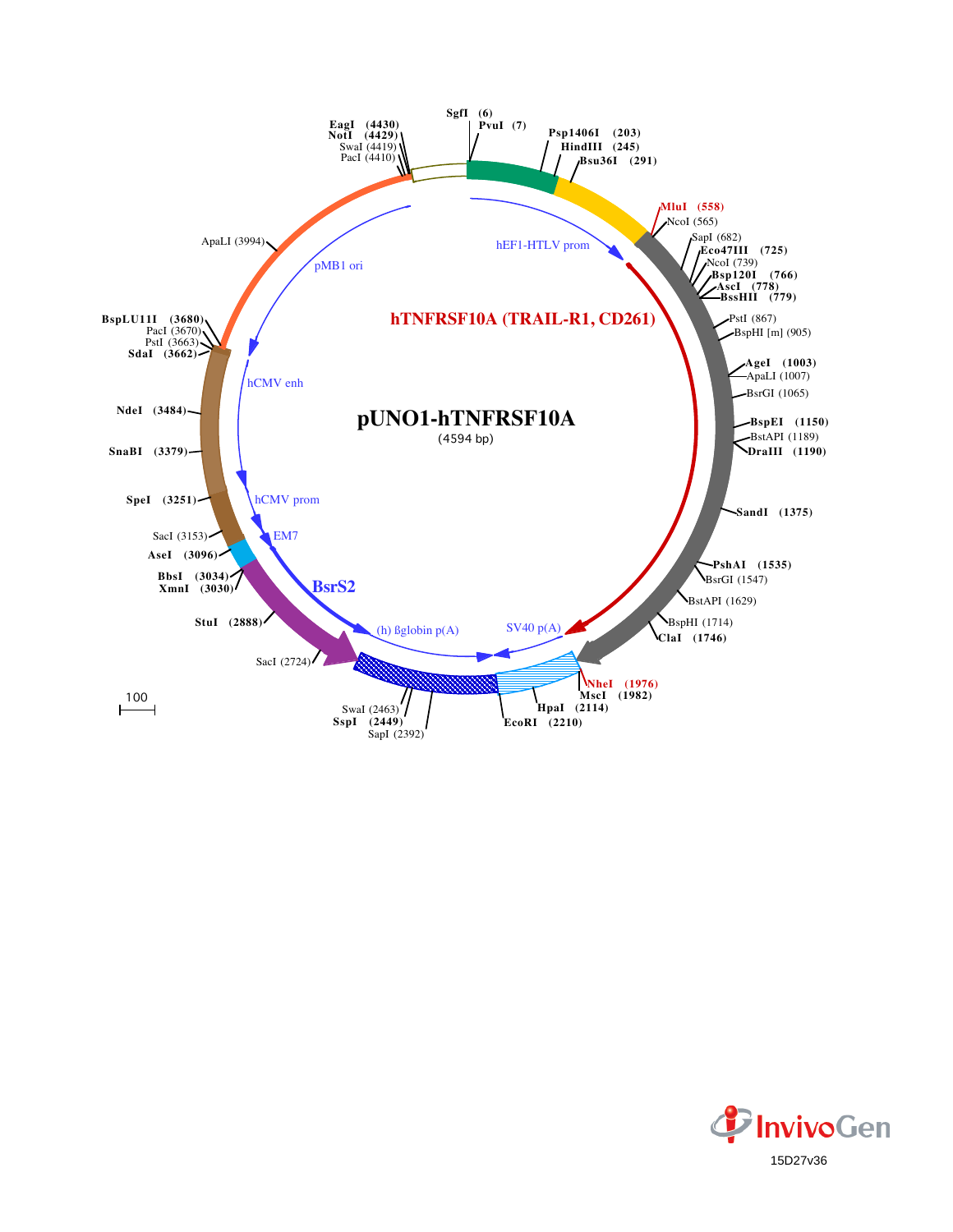

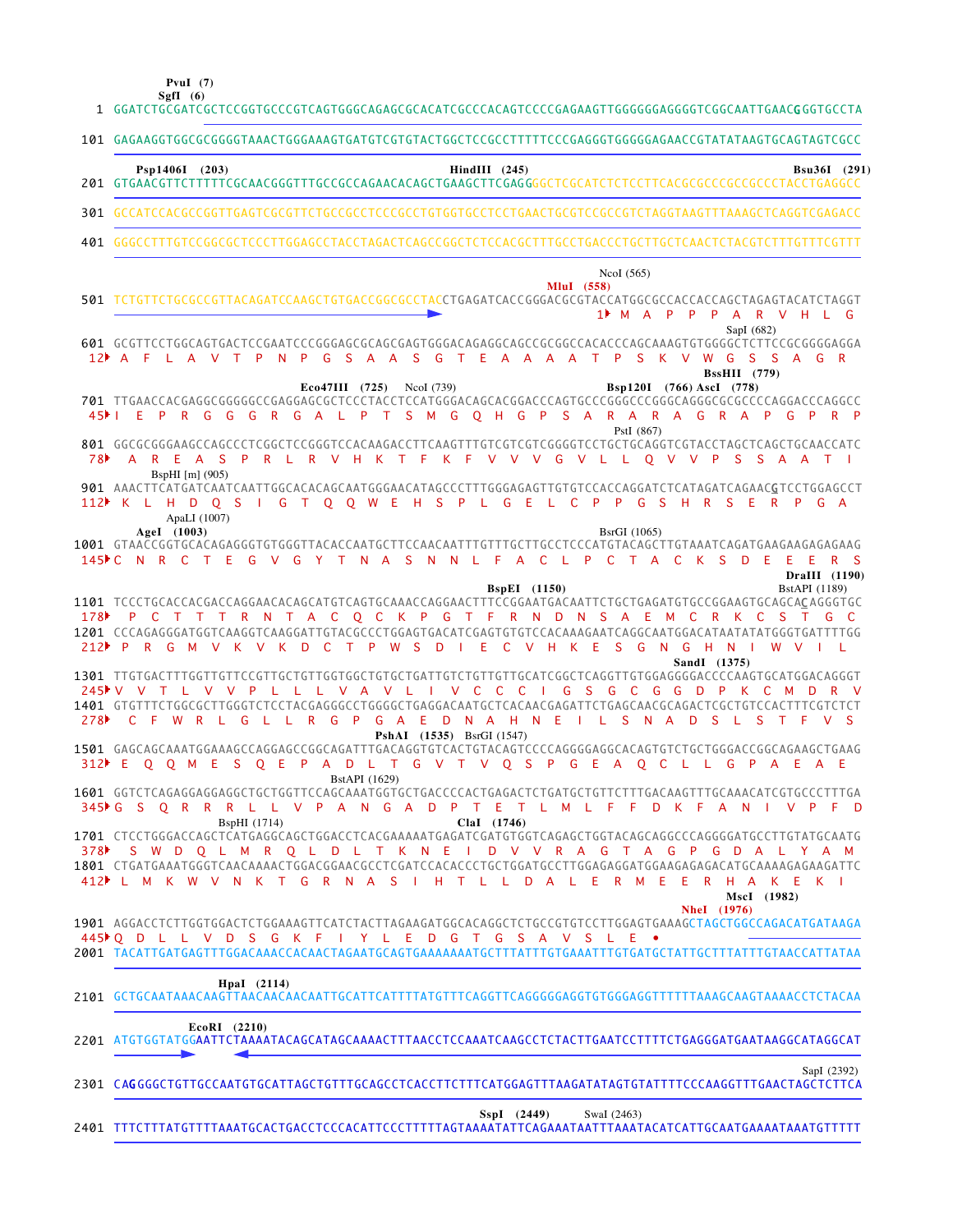**PvuI (7)**

GGATCTGCGATCGCTCCGGTGCCCGTCAGTGGGCAGAGCGCACATCGCCCACAGTCCCCGAGAAGTTGGGGGGAGGGGTCGGCAATTGAACG GGTGCCTA 1 101 GAGAAGGTGGCGCGGGGTAAACTGGGAAAGTGATGTCGTGTACTGGCTCCGCCTTTTTCCCGAGGGTGGGGGAGAACCGTATATAAGTGCAGTAGTCGCC GTGAACGTTCTTTTTCGCAACGGGTTTGCCGCCAGAACACAGCTGAAGCTTCGAG GGGCTCGCATCTCTCCTTCACGCGCCCGCCGCCCTACCTGAGGCC 201 GCCATCCACGCCGGTTGAGTCGCGTTCTGCCGCCTCCCGCCTGTGGTGCCTCCTGAACTGCGTCCGCCGTCTAGGTAAGTTTAAAGCTCAGGTCGAGACC GGGCCTTTGTCCGGCGCTCCCTTGGAGCCTACCTAGACTCAGCCGGCTCTCCACGCTTTGCCTGACCCTGCTTGCTCAACTCTACGTCTTTGTTTCGTTT 401 501 TCTGTTCTGCGCCGTTACAGATCCAAGCTGTGACCGGCGCCTACCTGAGATCACCGGGACGCGTACCATGGCGCCACCACCAGCTAGAGTACATCTAGGT GCGTTCCTGGCAGTGACTCCGAATCCCGGGAGCGCAGCGAGTGGGACAGAGGCAGCCGCGGCCACACCCAGCAAAGTGTGGGGCTCTTCCGCGGGGAGGA 601 701 TTGAACCACGAGGCGGGGGCCGAGGAGCGCTCCCTACCTCCATGGGACAGCACGGACCCAGTGCCCGGGCCCGGGCAGGGCGCCCCAGGACCCAGGCC GGCGCGGGAAGCCAGCCCTCGGCTCCGGGTCCACAAGACCTTCAAGTTTGTCGTCGTCGGGGTCCTGCTGCAGGTCGTACCTAGCTCAGCTGCAACCATC 801 901 AAACTTCATGATCAATCAATTGGCACACAGCAATGGGAACATAGCCCTTTGGGAGAGTTGTGTCCACCAGGATCTCATAGATCAGAAC<u>G</u>TCCTGGAGCCT GTAACCGGTGCACAGAGGGTGTGGGTTACACCAATGCTTCCAACAATTTGTTTGCTTGCCTCCCATGTACAGCTTGTAAATCAGATGAAGAAGAGAGAAG 1001 1101 TCCCTGCACCACCAGCAGGAACACAGCATGTCAGTGCAAACCAGGAACTTTCCGGAATGACAATTCTGCTGAGATGTGCCGGAAGTGCAGCACAGGGTGC 1201 CCCAGAGGGATGGTCAAGGTCAAGGATTGTACGCCCTGGAGTGACATCGAGTGTGTCCACAAAGAATCAGGCAATGGACATAATATATGGGTGATTTTGG 1301 TTGTGACTTTGGTTGTTCCGTTGCTGTTGGTGGCTGTGCTGATTGTCTGTTGTTGCATCGGCTCAGGTTGTGGAGGGGACCCCAAGTGCATGGACAGGGT 1401 GTGTTTCTGGCGCTTGGGTCTCCTACGAGGGCCTGGGGCTGAGGACAATGCTCACAACGAGATTCTGAGCAACGCAGACTCGCTGTCCACTTTCGTCTCT 1501 GAGCAGCAAATGGAAAGCCAGGAGCCGGCAGATTTGACAGGTGTCACTGTACAGTCCCCAGGGGAGGCACAGTGTCTGCTGGGACCGGCAGAAGCTGAAG 1601 GGTCTCAGAGGAGGAGGCTGCTGGTTCCAGCAAATGGTGCTGACCCCACTGAGACTCTGATGCTGTTCTTTGACAAGTTTGCAAACATCGTGCCCTTTGA 1701 CTCCTGGGACCAGCTCATGAGGCAGCTGGACCTCACGAAAAATGAGATCGATGTGGTCAGAGCTGGTACAGCAGGCCCAGGGGATGCCTTGTATGCAATG 1801 CTGATGAAATGGGTCAACAAAACTGGACGGAACGCCTCGATCCACACCCTGCTGGATGCCTTGGAGAGGGATGGAAGAGAGACATGCAAAAGAGAGATTC AGGACCTCTTGGTGGACTCTGGAAAGTTCATCTACTTAGAAGATGGCACAGGCTCTGCCGTGTCCTTGGAGTGAAAGCTAGCTGGCCAGACATGATAAGA 1901 2001 TACATTGATGAGTTTGGACAAACCACAACTAGAATGCAGTGAAAAAAATGCTTTATTTGTGAAATTTGTGATGCTATTGCTTTATTTGTAACCATTATAA 2101 GCTGCAATAAACAAGTTAACAACAACAATTGCATTCATTTTATGTTTCAGGTTCAGGGGGAGGTGTGGGAGGTTTTTTAAAGCAAGTAAAACCTCTACAA 2201 ATGTGGTATGGAATTCTAAAATACAGCATAGCAAAACTTTAACCTCCAAATCAAGCCTCTACTTGAATCCTTTTCTGAGGGATGAATAAGGCATAGGCAT 2301 CA**G**GGGCTGTTGCCAATGTGCATTAGCTGTTTGCAGCCTCACCTTCTTTCATGGAGTTTAAGATATAGTGTATTTTCCCAAGGTTTGAACTAGCTCTTCA M A P P P A R V H L G 1 12 A F L A V T P N P G S A A S G T E A A A A T P S K V W G S S A G R 45 FIE PRGGGRGAL PT SMGQ HGP SARARAGRAPG PRP A R E A S P R L R V H K T F K F V V V G V L L Q V V P S S A A T K L H D Q S I G T Q Q W E H S P L G E L C P P G S H R S E R P G A 112 145PC N R C T E G V G Y T N A S N N L F A C L P C T A C K S D E E E R S 178 P C T T T R N T A C Q C K P G T F R N D N S A E M C R K C S T G C P R G M V K V K D C T P W S D I E C V H K E S G N G H N I W V I L 212 V V T L V V P L L L V A V L I V C C C I G S G C G G D P K C M D R V 245 C F W R L G L L R G P G A E D N A H N E I L S N A D S L S T F V S 278 E Q Q M E S Q E P A D L T G V T V Q S P G E A Q C L L G P A E A E 312 G S Q R R R L L V P A N G A D P T E T L M L F F D K F A N I V P F D 345 378 N S W D Q L M R Q L D L T K N E I D V V R A G T A G P G D A L Y A M L M K W V N K T G R N A S I H T L L D A L E R M E E R H A K E K I 412 Q D L L V D S G K F I Y L E D G T G S A V S L E • 445**SgfI (6) Psp1406I (203) HindIII (245) Bsu36I (291) MluI (558)** NcoI (565) SapI (682) **Eco47III (725)** NcoI (739) **Bsp120I (766) AscI (778) BssHII (779)** PstI (867) BspHI [m] (905) **AgeI (1003)** ApaLI (1007) BsrGI (1065) **BspEI** (1150) BstAPI (1189) **DraIII (1190) SandI (1375) PshAI (1535)** BsrGI (1547) BstAPI (1629) BspHI (1714) **ClaI (1746) NheI (1976) MscI (1982) HpaI (2114) EcoRI (2210)** SapI (2392) **SspI (2449)** SwaI (2463) 301 7 8

TTTCTTTATGTTTTAAATGCACTGACCTCCCACATTCCCTTTTTAGTAAAATATTCAGAAATAATTTAAATACATCATTGCAATGAAAATAAATGTTTTT 2401